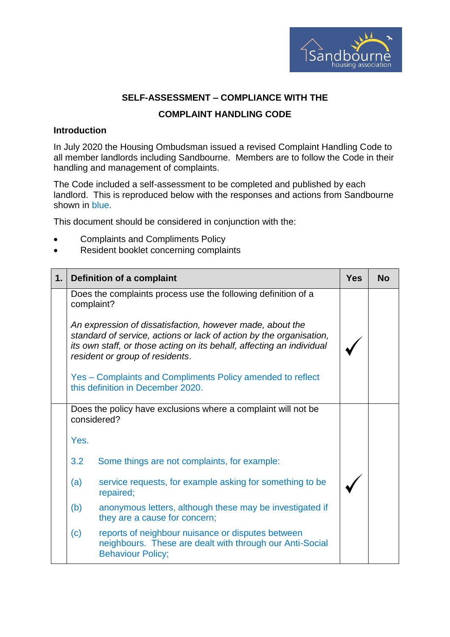

## **SELF-ASSESSMENT – COMPLIANCE WITH THE**

## **COMPLAINT HANDLING CODE**

## **Introduction**

In July 2020 the Housing Ombudsman issued a revised Complaint Handling Code to all member landlords including Sandbourne. Members are to follow the Code in their handling and management of complaints.

The Code included a self-assessment to be completed and published by each landlord. This is reproduced below with the responses and actions from Sandbourne shown in blue.

This document should be considered in conjunction with the:

- Complaints and Compliments Policy
- Resident booklet concerning complaints

| 1. |            | <b>Definition of a complaint</b>                                                                                                                                                                                                             | <b>Yes</b> | <b>No</b> |
|----|------------|----------------------------------------------------------------------------------------------------------------------------------------------------------------------------------------------------------------------------------------------|------------|-----------|
|    | complaint? | Does the complaints process use the following definition of a                                                                                                                                                                                |            |           |
|    |            | An expression of dissatisfaction, however made, about the<br>standard of service, actions or lack of action by the organisation,<br>its own staff, or those acting on its behalf, affecting an individual<br>resident or group of residents. |            |           |
|    |            | Yes – Complaints and Compliments Policy amended to reflect<br>this definition in December 2020.                                                                                                                                              |            |           |
|    |            | Does the policy have exclusions where a complaint will not be<br>considered?                                                                                                                                                                 |            |           |
|    | Yes.       |                                                                                                                                                                                                                                              |            |           |
|    | 3.2        | Some things are not complaints, for example:                                                                                                                                                                                                 |            |           |
|    | (a)        | service requests, for example asking for something to be<br>repaired;                                                                                                                                                                        |            |           |
|    | (b)        | anonymous letters, although these may be investigated if<br>they are a cause for concern;                                                                                                                                                    |            |           |
|    | (c)        | reports of neighbour nuisance or disputes between<br>neighbours. These are dealt with through our Anti-Social<br><b>Behaviour Policy;</b>                                                                                                    |            |           |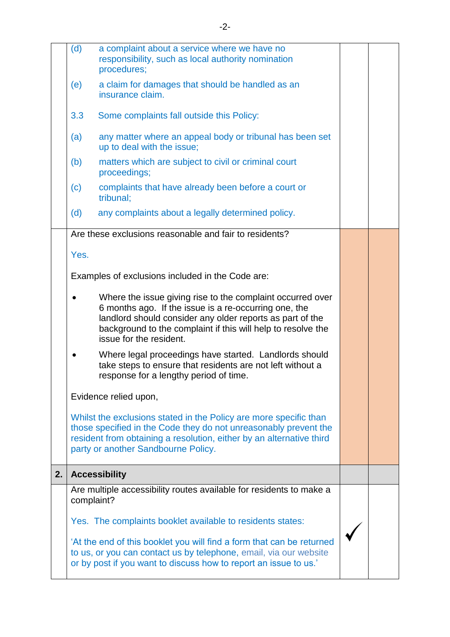|    | (d)        | a complaint about a service where we have no<br>responsibility, such as local authority nomination<br>procedures;                                                                                                                                                           |  |
|----|------------|-----------------------------------------------------------------------------------------------------------------------------------------------------------------------------------------------------------------------------------------------------------------------------|--|
|    | (e)        | a claim for damages that should be handled as an<br>insurance claim.                                                                                                                                                                                                        |  |
|    | 3.3        | Some complaints fall outside this Policy:                                                                                                                                                                                                                                   |  |
|    | (a)        | any matter where an appeal body or tribunal has been set<br>up to deal with the issue;                                                                                                                                                                                      |  |
|    | (b)        | matters which are subject to civil or criminal court<br>proceedings;                                                                                                                                                                                                        |  |
|    | (c)        | complaints that have already been before a court or<br>tribunal;                                                                                                                                                                                                            |  |
|    | (d)        | any complaints about a legally determined policy.                                                                                                                                                                                                                           |  |
|    |            | Are these exclusions reasonable and fair to residents?                                                                                                                                                                                                                      |  |
|    | Yes.       |                                                                                                                                                                                                                                                                             |  |
|    |            | Examples of exclusions included in the Code are:                                                                                                                                                                                                                            |  |
|    |            | Where the issue giving rise to the complaint occurred over<br>6 months ago. If the issue is a re-occurring one, the<br>landlord should consider any older reports as part of the<br>background to the complaint if this will help to resolve the<br>issue for the resident. |  |
|    | ٠          | Where legal proceedings have started. Landlords should<br>take steps to ensure that residents are not left without a<br>response for a lengthy period of time.                                                                                                              |  |
|    |            | Evidence relied upon,                                                                                                                                                                                                                                                       |  |
|    |            | Whilst the exclusions stated in the Policy are more specific than<br>those specified in the Code they do not unreasonably prevent the<br>resident from obtaining a resolution, either by an alternative third<br>party or another Sandbourne Policy.                        |  |
| 2. |            | <b>Accessibility</b>                                                                                                                                                                                                                                                        |  |
|    | complaint? | Are multiple accessibility routes available for residents to make a                                                                                                                                                                                                         |  |
|    |            | Yes. The complaints booklet available to residents states:                                                                                                                                                                                                                  |  |
|    |            | 'At the end of this booklet you will find a form that can be returned<br>to us, or you can contact us by telephone, email, via our website<br>or by post if you want to discuss how to report an issue to us.'                                                              |  |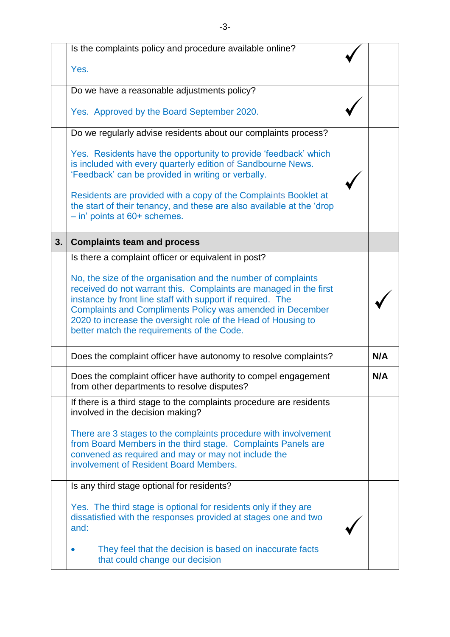|    | Is the complaints policy and procedure available online?                                                                                                                                                                                                                                                                                                                            |     |
|----|-------------------------------------------------------------------------------------------------------------------------------------------------------------------------------------------------------------------------------------------------------------------------------------------------------------------------------------------------------------------------------------|-----|
|    | Yes.                                                                                                                                                                                                                                                                                                                                                                                |     |
|    | Do we have a reasonable adjustments policy?                                                                                                                                                                                                                                                                                                                                         |     |
|    | Yes. Approved by the Board September 2020.                                                                                                                                                                                                                                                                                                                                          |     |
|    | Do we regularly advise residents about our complaints process?                                                                                                                                                                                                                                                                                                                      |     |
|    | Yes. Residents have the opportunity to provide 'feedback' which<br>is included with every quarterly edition of Sandbourne News.<br>'Feedback' can be provided in writing or verbally.                                                                                                                                                                                               |     |
|    | Residents are provided with a copy of the Complaints Booklet at<br>the start of their tenancy, and these are also available at the 'drop<br>$-$ in' points at 60+ schemes.                                                                                                                                                                                                          |     |
| 3. | <b>Complaints team and process</b>                                                                                                                                                                                                                                                                                                                                                  |     |
|    | Is there a complaint officer or equivalent in post?                                                                                                                                                                                                                                                                                                                                 |     |
|    | No, the size of the organisation and the number of complaints<br>received do not warrant this. Complaints are managed in the first<br>instance by front line staff with support if required. The<br><b>Complaints and Compliments Policy was amended in December</b><br>2020 to increase the oversight role of the Head of Housing to<br>better match the requirements of the Code. |     |
|    | Does the complaint officer have autonomy to resolve complaints?                                                                                                                                                                                                                                                                                                                     | N/A |
|    | Does the complaint officer have authority to compel engagement<br>from other departments to resolve disputes?                                                                                                                                                                                                                                                                       | N/A |
|    | If there is a third stage to the complaints procedure are residents<br>involved in the decision making?                                                                                                                                                                                                                                                                             |     |
|    | There are 3 stages to the complaints procedure with involvement<br>from Board Members in the third stage. Complaints Panels are<br>convened as required and may or may not include the<br>involvement of Resident Board Members.                                                                                                                                                    |     |
|    | Is any third stage optional for residents?                                                                                                                                                                                                                                                                                                                                          |     |
|    | Yes. The third stage is optional for residents only if they are<br>dissatisfied with the responses provided at stages one and two<br>and:                                                                                                                                                                                                                                           |     |
|    | They feel that the decision is based on inaccurate facts<br>that could change our decision                                                                                                                                                                                                                                                                                          |     |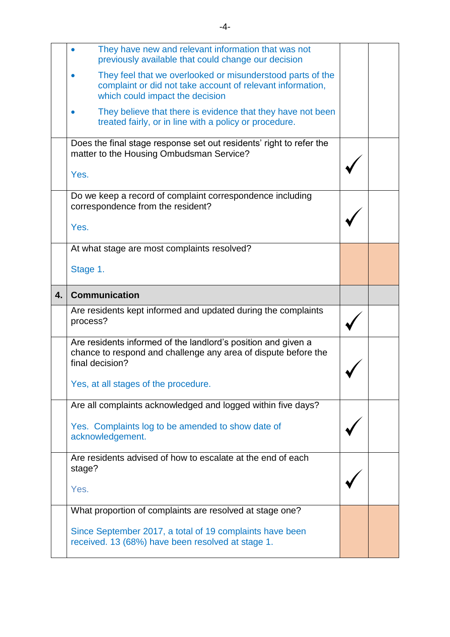|              | They have new and relevant information that was not<br>previously available that could change our decision                                                  |  |
|--------------|-------------------------------------------------------------------------------------------------------------------------------------------------------------|--|
|              | They feel that we overlooked or misunderstood parts of the<br>complaint or did not take account of relevant information,<br>which could impact the decision |  |
|              | They believe that there is evidence that they have not been<br>treated fairly, or in line with a policy or procedure.                                       |  |
|              | Does the final stage response set out residents' right to refer the<br>matter to the Housing Ombudsman Service?                                             |  |
|              | Yes.                                                                                                                                                        |  |
|              | Do we keep a record of complaint correspondence including<br>correspondence from the resident?                                                              |  |
|              | Yes.                                                                                                                                                        |  |
|              | At what stage are most complaints resolved?                                                                                                                 |  |
|              | Stage 1.                                                                                                                                                    |  |
| $\mathbf{4}$ | <b>Communication</b>                                                                                                                                        |  |
|              | Are residents kept informed and updated during the complaints<br>process?                                                                                   |  |
|              | Are residents informed of the landlord's position and given a<br>chance to respond and challenge any area of dispute before the<br>final decision?          |  |
|              | Yes, at all stages of the procedure.                                                                                                                        |  |
|              | Are all complaints acknowledged and logged within five days?                                                                                                |  |
|              | Yes. Complaints log to be amended to show date of<br>acknowledgement.                                                                                       |  |
|              | Are residents advised of how to escalate at the end of each<br>stage?                                                                                       |  |
|              | Yes.                                                                                                                                                        |  |
|              | What proportion of complaints are resolved at stage one?                                                                                                    |  |
|              | Since September 2017, a total of 19 complaints have been                                                                                                    |  |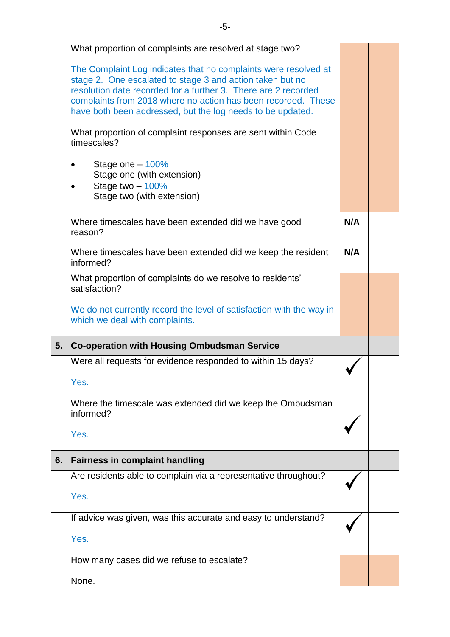|    | What proportion of complaints are resolved at stage two?                                                                                                                                                                                                                                                                      |     |  |
|----|-------------------------------------------------------------------------------------------------------------------------------------------------------------------------------------------------------------------------------------------------------------------------------------------------------------------------------|-----|--|
|    | The Complaint Log indicates that no complaints were resolved at<br>stage 2. One escalated to stage 3 and action taken but no<br>resolution date recorded for a further 3. There are 2 recorded<br>complaints from 2018 where no action has been recorded. These<br>have both been addressed, but the log needs to be updated. |     |  |
|    | What proportion of complaint responses are sent within Code<br>timescales?                                                                                                                                                                                                                                                    |     |  |
|    | Stage one $-100\%$<br>Stage one (with extension)<br>Stage two $-100\%$<br>Stage two (with extension)                                                                                                                                                                                                                          |     |  |
|    | Where timescales have been extended did we have good<br>reason?                                                                                                                                                                                                                                                               | N/A |  |
|    | Where timescales have been extended did we keep the resident<br>informed?                                                                                                                                                                                                                                                     | N/A |  |
|    | What proportion of complaints do we resolve to residents'<br>satisfaction?                                                                                                                                                                                                                                                    |     |  |
|    | We do not currently record the level of satisfaction with the way in<br>which we deal with complaints.                                                                                                                                                                                                                        |     |  |
|    |                                                                                                                                                                                                                                                                                                                               |     |  |
| 5. | <b>Co-operation with Housing Ombudsman Service</b>                                                                                                                                                                                                                                                                            |     |  |
|    | Were all requests for evidence responded to within 15 days?                                                                                                                                                                                                                                                                   |     |  |
|    | Yes.                                                                                                                                                                                                                                                                                                                          |     |  |
|    | Where the timescale was extended did we keep the Ombudsman<br>informed?                                                                                                                                                                                                                                                       |     |  |
|    | Yes.                                                                                                                                                                                                                                                                                                                          |     |  |
| 6. | <b>Fairness in complaint handling</b>                                                                                                                                                                                                                                                                                         |     |  |
|    | Are residents able to complain via a representative throughout?                                                                                                                                                                                                                                                               |     |  |
|    | Yes.                                                                                                                                                                                                                                                                                                                          |     |  |
|    | If advice was given, was this accurate and easy to understand?                                                                                                                                                                                                                                                                |     |  |
|    | Yes.                                                                                                                                                                                                                                                                                                                          |     |  |
|    | How many cases did we refuse to escalate?                                                                                                                                                                                                                                                                                     |     |  |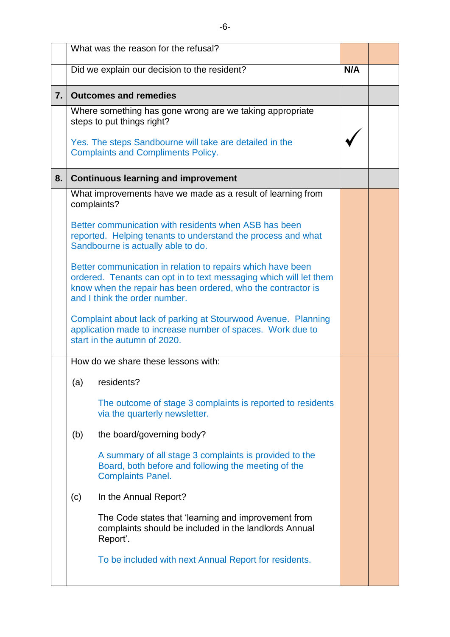|                  |     | What was the reason for the refusal?                                                                                                                                                                                              |     |  |
|------------------|-----|-----------------------------------------------------------------------------------------------------------------------------------------------------------------------------------------------------------------------------------|-----|--|
|                  |     | Did we explain our decision to the resident?                                                                                                                                                                                      | N/A |  |
|                  |     |                                                                                                                                                                                                                                   |     |  |
| $\overline{7}$ . |     | <b>Outcomes and remedies</b>                                                                                                                                                                                                      |     |  |
|                  |     | Where something has gone wrong are we taking appropriate<br>steps to put things right?                                                                                                                                            |     |  |
|                  |     | Yes. The steps Sandbourne will take are detailed in the<br><b>Complaints and Compliments Policy.</b>                                                                                                                              |     |  |
| 8.               |     | <b>Continuous learning and improvement</b>                                                                                                                                                                                        |     |  |
|                  |     | What improvements have we made as a result of learning from<br>complaints?                                                                                                                                                        |     |  |
|                  |     | Better communication with residents when ASB has been<br>reported. Helping tenants to understand the process and what<br>Sandbourne is actually able to do.                                                                       |     |  |
|                  |     | Better communication in relation to repairs which have been<br>ordered. Tenants can opt in to text messaging which will let them<br>know when the repair has been ordered, who the contractor is<br>and I think the order number. |     |  |
|                  |     | Complaint about lack of parking at Stourwood Avenue. Planning<br>application made to increase number of spaces. Work due to<br>start in the autumn of 2020.                                                                       |     |  |
|                  |     | How do we share these lessons with:                                                                                                                                                                                               |     |  |
|                  |     | (a) residents?                                                                                                                                                                                                                    |     |  |
|                  |     | The outcome of stage 3 complaints is reported to residents<br>via the quarterly newsletter.                                                                                                                                       |     |  |
|                  | (b) | the board/governing body?                                                                                                                                                                                                         |     |  |
|                  |     | A summary of all stage 3 complaints is provided to the<br>Board, both before and following the meeting of the<br><b>Complaints Panel.</b>                                                                                         |     |  |
|                  | (c) | In the Annual Report?                                                                                                                                                                                                             |     |  |
|                  |     | The Code states that 'learning and improvement from<br>complaints should be included in the landlords Annual<br>Report'.                                                                                                          |     |  |
|                  |     | To be included with next Annual Report for residents.                                                                                                                                                                             |     |  |
|                  |     |                                                                                                                                                                                                                                   |     |  |